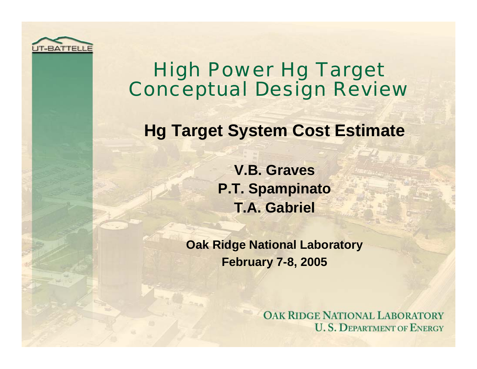

## High Power Hg Target Conceptual Design Review

### **Hg Target System Cost Estimate**

**V.B. GravesP.T. Spampinato T.A. Gabriel**

**Oak Ridge National Laboratory February 7-8, 2005**

> **OAK RIDGE NATIONAL LABORATORY U.S. DEPARTMENT OF ENERGY**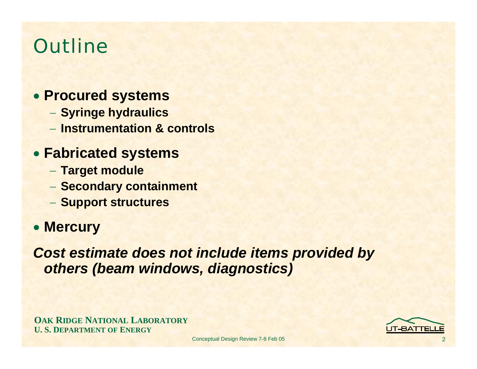# **Outline**

#### • **Procured systems**

- **Syringe hydraulics**
- − **Instrumentation & controls**

#### • **Fabricated systems**

- **Target module**
- **Secondary containment**
- **Support structures**

#### • **Mercury**

*Cost estimate does not include items provided by others (beam windows, diagnostics)*

**OAK RIDGE NATIONAL LABORATORY U. S. DEPARTMENT OF ENERGY**

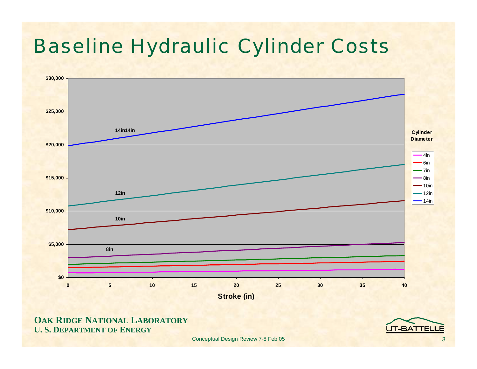# Baseline Hydraulic Cylinder Costs



#### **OAK RIDGE NATIONAL LABORATORY U. S. DEPARTMENT OF ENERGY**

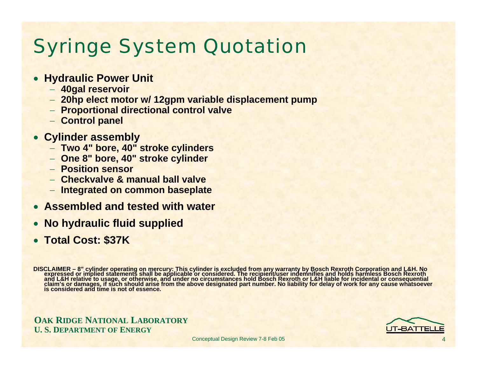# Syringe System Quotation

- **Hydraulic Power Unit**
	- − **40gal reservoir**
	- − **20hp elect motor w/ 12gpm variable displacement pump**
	- − **Proportional directional control valve**
	- − **Control panel**
- **Cylinder assembly**
	- − **Two 4" bore, 40" stroke cylinders**
	- − **One 8" bore, 40" stroke cylinder**
	- − **Position sensor**
	- − **Checkvalve & manual ball valve**
	- − **Integrated on common baseplate**
- **Assembled and tested with water**
- •**No hydraulic fluid supplied**
- **Total Cost: \$37K**

DISCLAIMER – 8" cylinder operating on mercury: This cylinder is excluded from any warranty by Bosch Rexroth Corporation and L&H. No<br>expressed or implied statements shall be applicable or considered. The recipient/user inde

**OAK RIDGE NATIONAL LABORATORY U. S. DEPARTMENT OF ENERGY**

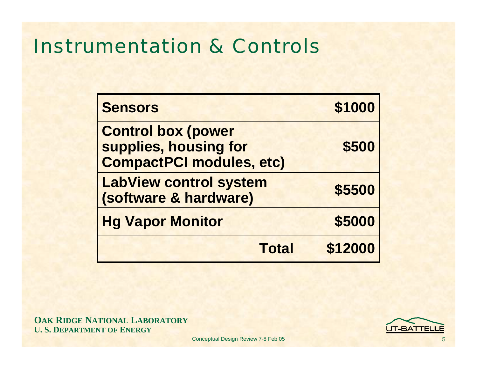## Instrumentation & Controls

| <b>Sensors</b>                                                                        | \$1000  |
|---------------------------------------------------------------------------------------|---------|
| <b>Control box (power</b><br>supplies, housing for<br><b>CompactPCI modules, etc)</b> | \$500   |
| <b>LabView control system</b><br>(software & hardware)                                | \$5500  |
| <b>Hg Vapor Monitor</b>                                                               | \$5000  |
| <b>Total</b>                                                                          | \$12000 |

**OAK RIDGE NATIONAL LABORATORY U. S. DEPARTMENT OF ENERGY**

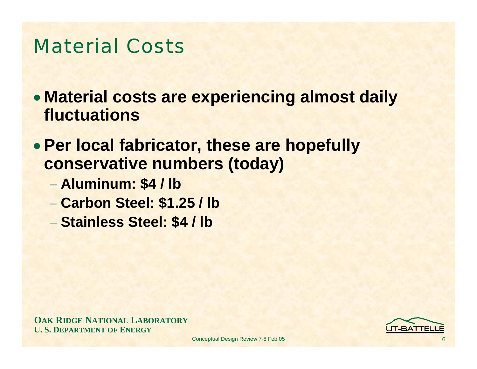## Material Costs

- **Material costs are experiencing almost daily fluctuations**
- **Per local fabricator, these are hopefully conservative numbers (today)**
	- **Aluminum: \$4 / lb**
	- **Carbon Steel: \$1.25 / lb**
	- **Stainless Steel: \$4 / lb**

**OAK RIDGE NATIONAL LABORATORY U. S. DEPARTMENT OF ENERGY**

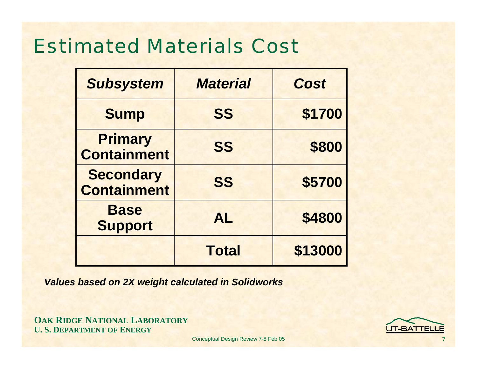## Estimated Materials Cost

| <b>Subsystem</b>                       | <b>Material</b> | <b>Cost</b> |
|----------------------------------------|-----------------|-------------|
| <b>Sump</b>                            | <b>SS</b>       | \$1700      |
| <b>Primary</b><br><b>Containment</b>   | <b>SS</b>       | \$800       |
| <b>Secondary</b><br><b>Containment</b> | <b>SS</b>       | \$5700      |
| <b>Base</b><br><b>Support</b>          | <b>AL</b>       | \$4800      |
|                                        | <b>Total</b>    | \$13000     |

*Values based on 2X weight calculated in Solidworks*

**OAK RIDGE NATIONAL LABORATORY U. S. DEPARTMENT OF ENERGY**

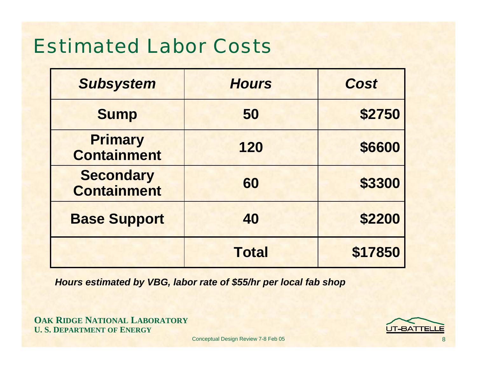# Estimated Labor Costs

| <b>Subsystem</b>                       | <b>Hours</b> | <b>Cost</b> |
|----------------------------------------|--------------|-------------|
| <b>Sump</b>                            | 50           | \$2750      |
| <b>Primary</b><br><b>Containment</b>   | 120          | \$6600      |
| <b>Secondary</b><br><b>Containment</b> | 60           | \$3300      |
| <b>Base Support</b>                    | 40           | \$2200      |
|                                        | <b>Total</b> | \$17850     |

*Hours estimated by VBG, labor rate of \$55/hr per local fab shop*

**OAK RIDGE NATIONAL LABORATORY U. S. DEPARTMENT OF ENERGY**

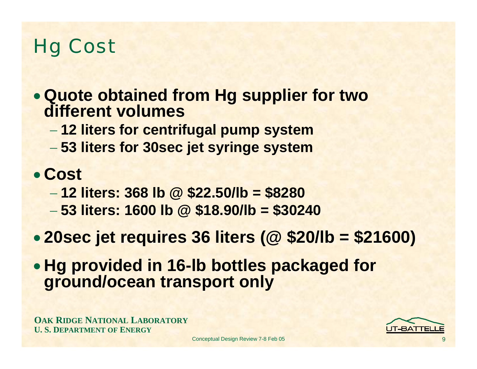# Hg Cost

- **Quote obtained from Hg supplier for two different volumes**
	- **12 liters for centrifugal pump system**
	- **53 liters for 30sec jet syringe system**

## • **Cost**

- **12 liters: 368 lb @ \$22.50/lb = \$8280**
- **53 liters: 1600 lb @ \$18.90/lb = \$30240**
- $\bullet$ **20sec jet requires 36 liters (@ \$20/lb = \$21600)**
- **Hg provided in 16-lb bottles packaged for ground/ocean transport only**

**OAK RIDGE NATIONAL LABORATORY U. S. DEPARTMENT OF ENERGY**